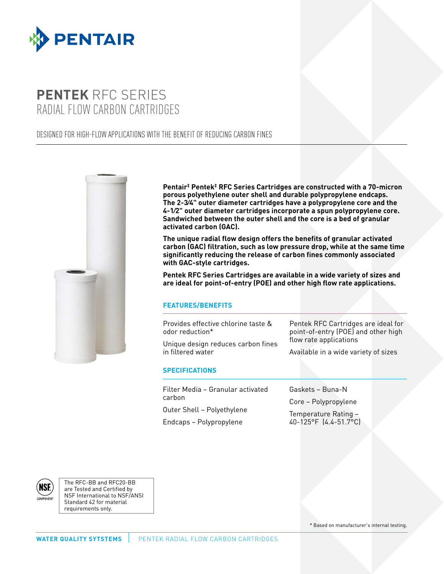

# **PENTEK** RFC SERIES RADIAL FLOW CARBON CARTRIDGES

## DESIGNED FOR HIGH-FLOW APPLICATIONS WITH THE BENEFIT OF REDUCING CARBON FINES



**Pentair‡ Pentek‡ RFC Series Cartridges are constructed with a 70-micron porous polyethylene outer shell and durable polypropylene endcaps. The 2-3⁄4" outer diameter cartridges have a polypropylene core and the 4-1⁄2" outer diameter cartridges incorporate a spun polypropylene core. Sandwiched between the outer shell and the core is a bed of granular activated carbon (GAC).**

**The unique radial flow design offers the benefits of granular activated carbon (GAC) filtration, such as low pressure drop, while at the same time significantly reducing the release of carbon fines commonly associated with GAC-style cartridges.**

**Pentek RFC Series Cartridges are available in a wide variety of sizes and are ideal for point-of-entry (POE) and other high flow rate applications.**

### **FEATURES/BENEFITS**

Provides effective chlorine taste & odor reduction\*

Unique design reduces carbon fines in filtered water

Pentek RFC Cartridges are ideal for point-of-entry (POE) and other high flow rate applications

Available in a wide variety of sizes

#### **SPECIFICATIONS**

Filter Media – Granular activated carbon Outer Shell – Polyethylene

Endcaps – Polypropylene

Gaskets – Buna-N

Core – Polypropylene

Temperature Rating – 40-125°F (4.4-51.7°C)



The RFC-BB and RFC20-BB are Tested and Certified by NSF International to NSF/ANSI Standard 42 for material requirements only.

\* Based on manufacturer's internal testing.